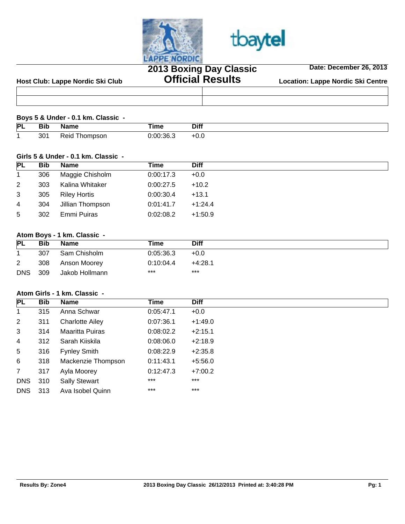



# **2013 Boxing Day Classic Official Results**

**Date: December 26, 2013**



#### **Boys 5 & Under - 0.1 km. Classic -**

| P | ыр<br>____ | ame<br>יי      | ---<br>ume.<br>________ | <b>Diff</b> |
|---|------------|----------------|-------------------------|-------------|
|   | つへっ<br>ບບ  | hompson<br>≺ек | 0:00:36.3               | TU.U        |

#### **Girls 5 & Under - 0.1 km. Classic -**

| <b>Bib</b> | <b>Name</b>         | Time      | <b>Diff</b> |
|------------|---------------------|-----------|-------------|
| 306        | Maggie Chisholm     | 0:00:17.3 | $+0.0$      |
| 303        | Kalina Whitaker     | 0:00:27.5 | $+10.2$     |
| 305        | <b>Riley Hortis</b> | 0:00:30.4 | $+13.1$     |
| 304        | Jillian Thompson    | 0:01:41.7 | $+1:24.4$   |
| 302        | Emmi Puiras         | 0:02:08.2 | $+1:50.9$   |
|            |                     |           |             |

## **Atom Boys - 1 km. Classic -**

| <b>PL</b>  | Bib | <b>Name</b>    | Time      | <b>Diff</b> |  |
|------------|-----|----------------|-----------|-------------|--|
|            | 307 | Sam Chisholm   | 0:05:36.3 | $+0.0$      |  |
| 2          | 308 | Anson Moorey   | 0:10:04.4 | $+4:28.1$   |  |
| <b>DNS</b> | 309 | Jakob Hollmann | $***$     | $***$       |  |

## **Atom Girls - 1 km. Classic -**

| <b>PL</b>      | <b>Bib</b> | <b>Name</b>            | Time      | <b>Diff</b> |
|----------------|------------|------------------------|-----------|-------------|
| $\mathbf{1}$   | 315        | Anna Schwar            | 0:05:47.1 | $+0.0$      |
| $\overline{2}$ | 311        | <b>Charlotte Ailey</b> | 0:07:36.1 | $+1:49.0$   |
| 3              | 314        | <b>Maaritta Puiras</b> | 0:08:02.2 | $+2:15.1$   |
| 4              | 312        | Sarah Kiiskila         | 0.08:06.0 | $+2:18.9$   |
| 5              | 316        | <b>Fynley Smith</b>    | 0:08:22.9 | $+2:35.8$   |
| 6              | 318        | Mackenzie Thompson     | 0:11:43.1 | $+5:56.0$   |
| $7^{\circ}$    | 317        | Ayla Moorey            | 0:12:47.3 | $+7:00.2$   |
| <b>DNS</b>     | 310        | <b>Sally Stewart</b>   | $***$     | $***$       |
| <b>DNS</b>     | 313        | Ava Isobel Quinn       | $***$     | $***$       |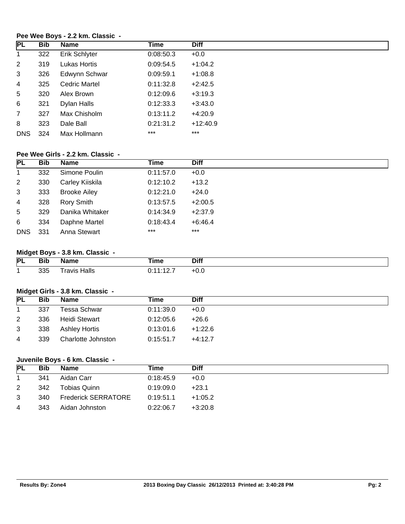## **Pee Wee Boys - 2.2 km. Classic -**

| <b>PL</b>      | Bib | <b>Name</b>          | Time      | <b>Diff</b> |
|----------------|-----|----------------------|-----------|-------------|
| $\mathbf{1}$   | 322 | Erik Schlyter        | 0:08:50.3 | $+0.0$      |
| $\overline{2}$ | 319 | Lukas Hortis         | 0:09:54.5 | $+1:04.2$   |
| 3              | 326 | Edwynn Schwar        | 0:09:59.1 | $+1:08.8$   |
| 4              | 325 | <b>Cedric Martel</b> | 0:11:32.8 | $+2:42.5$   |
| 5              | 320 | Alex Brown           | 0:12:09.6 | $+3:19.3$   |
| 6              | 321 | Dylan Halls          | 0:12:33.3 | $+3:43.0$   |
| $\overline{7}$ | 327 | Max Chisholm         | 0:13:11.2 | $+4:20.9$   |
| 8              | 323 | Dale Ball            | 0:21:31.2 | $+12:40.9$  |
| <b>DNS</b>     | 324 | Max Hollmann         | $***$     | $***$       |

## **Pee Wee Girls - 2.2 km. Classic -**

| PL             | Bib | <b>Name</b>         | Time      | <b>Diff</b> |
|----------------|-----|---------------------|-----------|-------------|
| $\overline{1}$ | 332 | Simone Poulin       | 0:11:57.0 | $+0.0$      |
| $\overline{2}$ | 330 | Carley Kiiskila     | 0:12:10.2 | $+13.2$     |
| 3              | 333 | <b>Brooke Ailey</b> | 0:12:21.0 | $+24.0$     |
| $\overline{4}$ | 328 | Rory Smith          | 0:13:57.5 | $+2:00.5$   |
| 5              | 329 | Danika Whitaker     | 0:14:34.9 | $+2:37.9$   |
| 6              | 334 | Daphne Martel       | 0:18:43.4 | $+6:46.4$   |
| <b>DNS</b>     | 331 | Anna Stewart        | $***$     | $***$       |

# **Midget Boys - 3.8 km. Classic -**

| PL | סוכ<br>____ | Nama                   | <b>Time</b>                                                                                                          | <b>Diff</b> |
|----|-------------|------------------------|----------------------------------------------------------------------------------------------------------------------|-------------|
|    | 335         | Halls<br>ravis<br>____ | .<br>the contract of the contract of the contract of the contract of the contract of the contract of the contract of | ט.ט         |

## **Midget Girls - 3.8 km. Classic -**

| <b>Bib</b> | <b>Name</b>          | Time      | <b>Diff</b> |  |
|------------|----------------------|-----------|-------------|--|
| 337        | Tessa Schwar         | 0:11:39.0 | $+0.0$      |  |
| 336        | Heidi Stewart        | 0:12:05.6 | $+26.6$     |  |
| 338        | <b>Ashley Hortis</b> | 0:13:01.6 | $+1:22.6$   |  |
| 339        | Charlotte Johnston   | 0:15:51.7 | $+4:12.7$   |  |
|            |                      |           |             |  |

# **Juvenile Boys - 6 km. Classic -**

| <b>PL</b> | Bib. | Name                       | Time      | <b>Diff</b> |
|-----------|------|----------------------------|-----------|-------------|
|           | 341  | Aidan Carr                 | 0:18:45.9 | $+0.0$      |
| 2         | 342  | Tobias Quinn               | 0:19:09.0 | $+23.1$     |
| 3         | 340  | <b>Frederick SERRATORE</b> | 0:19:51.1 | $+1:05.2$   |
| 4         | 343  | Aidan Johnston             | 0:22:06.7 | $+3:20.8$   |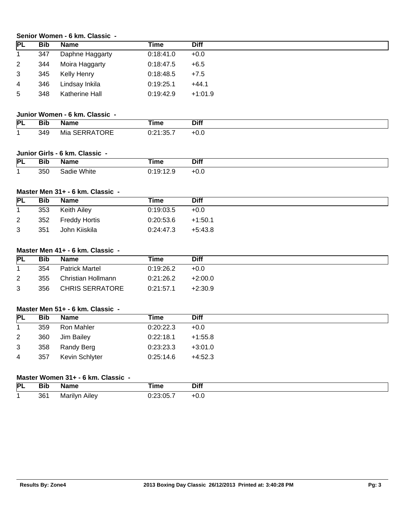## **Senior Women - 6 km. Classic -**

| <b>PL</b> | <b>Bib</b> | Name            | Time      | <b>Diff</b> |
|-----------|------------|-----------------|-----------|-------------|
|           | 347        | Daphne Haggarty | 0:18:41.0 | $+0.0$      |
| 2         | 344        | Moira Haggarty  | 0:18:47.5 | $+6.5$      |
| 3         | 345        | Kelly Henry     | 0:18:48.5 | $+7.5$      |
| 4         | 346        | Lindsay Inkila  | 0:19:25.1 | $+44.1$     |
| 5         | 348        | Katherine Hall  | 0:19:42.9 | $+1:01.9$   |

## **Junior Women - 6 km. Classic -**

| PL | Bib | <b>Name</b>             | --<br>īme | <b>Diff</b> |
|----|-----|-------------------------|-----------|-------------|
|    | 349 | RRATORE<br>Mia<br>SERRA | 0:21:35   | +v.v        |

## **Junior Girls - 6 km. Classic -**

| <b>PL</b> | .<br>Bib | ıame           | <b>The Contract of Contract Contract of Contract Contract Contract Of Contract Contract Contract Contract Contract Contract Contract Contract Contract Contract Contract Contract Contract Contract Contract Contract Contract C</b><br>ıme | <b>Diff</b> |
|-----------|----------|----------------|---------------------------------------------------------------------------------------------------------------------------------------------------------------------------------------------------------------------------------------------|-------------|
|           | 350      | White<br>sadie | 40.40<br>. .<br>ت. ۲ د<br><b>V.IV.</b>                                                                                                                                                                                                      | ט.ט         |

## **Master Men 31+ - 6 km. Classic -**

| <b>PL</b> | Bib | <b>Name</b>   | Time      | <b>Diff</b> |
|-----------|-----|---------------|-----------|-------------|
|           | 353 | Keith Ailey   | 0:19:03.5 | $+0.0$      |
| 2         | 352 | Freddy Hortis | 0:20:53.6 | $+1:50.1$   |
| 3         | 351 | John Kiiskila | 0:24:47.3 | +5:43.8     |

## **Master Men 41+ - 6 km. Classic -**

| <b>PL</b> | Bib | <b>Name</b>           | Time      | <b>Diff</b> |
|-----------|-----|-----------------------|-----------|-------------|
|           | 354 | <b>Patrick Martel</b> | 0:19:26.2 | $+0.0$      |
| 2         | 355 | Christian Hollmann    | 0:21:26.2 | $+2:00.0$   |
| 3         | 356 | CHRIS SERRATORE       | 0:21:57.1 | $+2:30.9$   |

## **Master Men 51+ - 6 km. Classic -**

| <b>PL</b>      | <b>Bib</b> | Name           | Time      | <b>Diff</b> |
|----------------|------------|----------------|-----------|-------------|
|                | 359        | Ron Mahler     | 0:20:22.3 | $+0.0$      |
| $\overline{2}$ | 360        | Jim Bailey     | 0:22:18.1 | $+1:55.8$   |
| 3              | 358        | Randy Berg     | 0:23:23.3 | $+3:01.0$   |
| 4              | 357        | Kevin Schlyter | 0:25:14.6 | $+4:52.3$   |

# **Master Women 31+ - 6 km. Classic -**

| PL | .<br>Bıb | ----                        | Гіmе         | Diff                          |
|----|----------|-----------------------------|--------------|-------------------------------|
|    | 361      | . .<br>Aılev<br>rılvr<br>M. | . .<br><br>. | $\mathsf{v} \cdot \mathsf{v}$ |